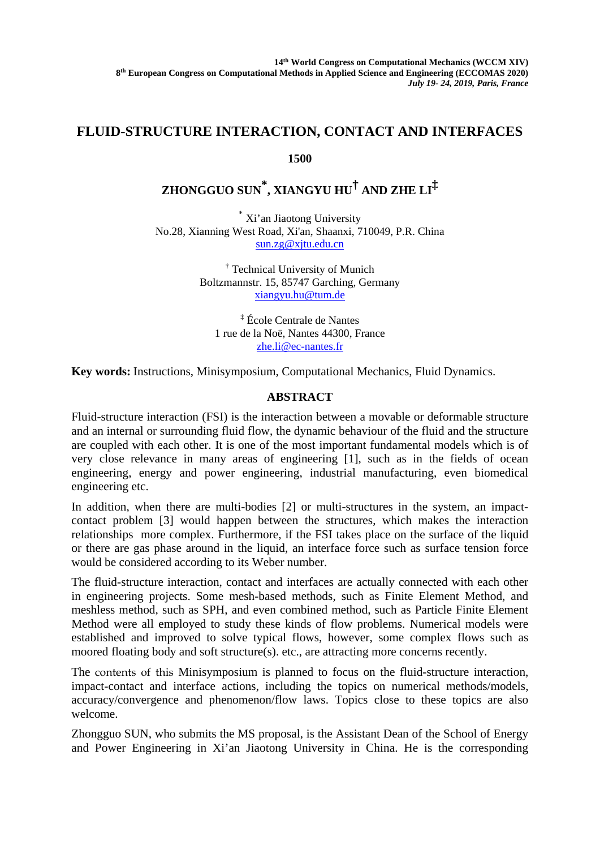## **FLUID-STRUCTURE INTERACTION, CONTACT AND INTERFACES**

**1500** 

## **ZHONGGUO SUN \* , XIANGYU HU† AND ZHE LI‡**

\* Xi'an Jiaotong University No.28, Xianning West Road, Xi'an, Shaanxi, 710049, P.R. China sun.zg@xjtu.edu.cn

> † Technical University of Munich Boltzmannstr. 15, 85747 Garching, Germany xiangyu.hu@tum.de

‡ École Centrale de Nantes 1 rue de la Noë, Nantes 44300, France zhe.li@ec-nantes.fr

**Key words:** Instructions, Minisymposium, Computational Mechanics, Fluid Dynamics.

## **ABSTRACT**

Fluid-structure interaction (FSI) is the interaction between a movable or deformable structure and an internal or surrounding fluid flow, the dynamic behaviour of the fluid and the structure are coupled with each other. It is one of the most important fundamental models which is of very close relevance in many areas of engineering [1], such as in the fields of ocean engineering, energy and power engineering, industrial manufacturing, even biomedical engineering etc.

In addition, when there are multi-bodies [2] or multi-structures in the system, an impactcontact problem [3] would happen between the structures, which makes the interaction relationships more complex. Furthermore, if the FSI takes place on the surface of the liquid or there are gas phase around in the liquid, an interface force such as surface tension force would be considered according to its Weber number.

The fluid-structure interaction, contact and interfaces are actually connected with each other in engineering projects. Some mesh-based methods, such as Finite Element Method, and meshless method, such as SPH, and even combined method, such as Particle Finite Element Method were all employed to study these kinds of flow problems. Numerical models were established and improved to solve typical flows, however, some complex flows such as moored floating body and soft structure(s). etc., are attracting more concerns recently.

The contents of this Minisymposium is planned to focus on the fluid-structure interaction, impact-contact and interface actions, including the topics on numerical methods/models, accuracy/convergence and phenomenon/flow laws. Topics close to these topics are also welcome.

Zhongguo SUN, who submits the MS proposal, is the Assistant Dean of the School of Energy and Power Engineering in Xi'an Jiaotong University in China. He is the corresponding